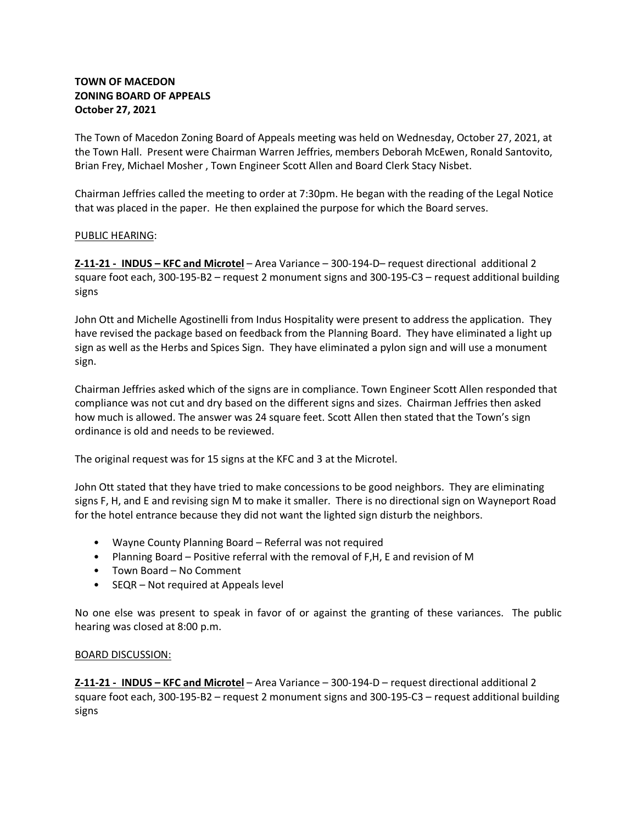# **TOWN OF MACEDON ZONING BOARD OF APPEALS October 27, 2021**

The Town of Macedon Zoning Board of Appeals meeting was held on Wednesday, October 27, 2021, at the Town Hall. Present were Chairman Warren Jeffries, members Deborah McEwen, Ronald Santovito, Brian Frey, Michael Mosher , Town Engineer Scott Allen and Board Clerk Stacy Nisbet.

Chairman Jeffries called the meeting to order at 7:30pm. He began with the reading of the Legal Notice that was placed in the paper. He then explained the purpose for which the Board serves.

## PUBLIC HEARING:

**Z-11-21 - INDUS – KFC and Microtel** – Area Variance – 300-194-D– request directional additional 2 square foot each, 300-195-B2 – request 2 monument signs and 300-195-C3 – request additional building signs

John Ott and Michelle Agostinelli from Indus Hospitality were present to address the application. They have revised the package based on feedback from the Planning Board. They have eliminated a light up sign as well as the Herbs and Spices Sign. They have eliminated a pylon sign and will use a monument sign.

Chairman Jeffries asked which of the signs are in compliance. Town Engineer Scott Allen responded that compliance was not cut and dry based on the different signs and sizes. Chairman Jeffries then asked how much is allowed. The answer was 24 square feet. Scott Allen then stated that the Town's sign ordinance is old and needs to be reviewed.

The original request was for 15 signs at the KFC and 3 at the Microtel.

John Ott stated that they have tried to make concessions to be good neighbors. They are eliminating signs F, H, and E and revising sign M to make it smaller. There is no directional sign on Wayneport Road for the hotel entrance because they did not want the lighted sign disturb the neighbors.

- Wayne County Planning Board Referral was not required
- Planning Board Positive referral with the removal of F,H, E and revision of M
- Town Board No Comment
- SEQR Not required at Appeals level

No one else was present to speak in favor of or against the granting of these variances. The public hearing was closed at 8:00 p.m.

## BOARD DISCUSSION:

**Z-11-21 - INDUS – KFC and Microtel** – Area Variance – 300-194-D – request directional additional 2 square foot each, 300-195-B2 – request 2 monument signs and 300-195-C3 – request additional building signs